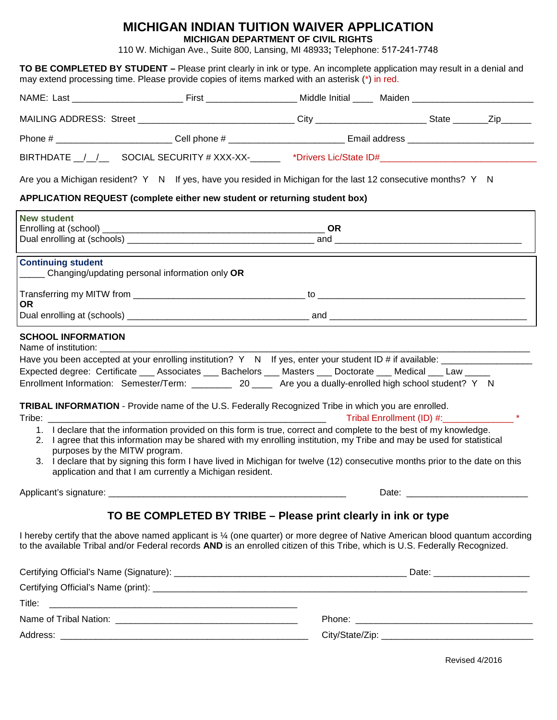## **MICHIGAN INDIAN TUITION WAIVER APPLICATION**

**MICHIGAN DEPARTMENT OF CIVIL RIGHTS** 

110 W. Michigan Ave., Suite 800, Lansing, MI 48933**;** Telephone: 517-241-7748

**TO BE COMPLETED BY STUDENT –** Please print clearly in ink or type. An incomplete application may result in a denial and may extend processing time. Please provide copies of items marked with an asterisk (\*) in red. NAME: Last \_\_\_\_\_\_\_\_\_\_\_\_\_\_\_\_\_\_\_\_\_\_ First \_\_\_\_\_\_\_\_\_\_\_\_\_\_\_\_\_\_ Middle Initial \_\_\_\_ Maiden \_\_\_\_\_\_\_\_\_\_\_\_\_\_\_\_\_\_\_\_\_\_\_\_ MAILING ADDRESS: Street \_\_\_\_\_\_\_\_\_\_\_\_\_\_\_\_\_\_\_\_\_\_\_\_\_\_\_\_\_\_\_\_City \_\_\_\_\_\_\_\_\_\_\_\_\_\_\_\_\_\_\_\_\_\_\_\_\_\_\_State \_\_\_\_\_\_\_\_Zip\_\_\_\_\_\_ Phone #  $\hbox{Cell phone $ \#$}$  Email address BIRTHDATE / / SOCIAL SECURITY # XXX-XX- \* \*Drivers Lic/State ID# Are you a Michigan resident? Y N If yes, have you resided in Michigan for the last 12 consecutive months? Y N **APPLICATION REQUEST (complete either new student or returning student box) New student**<br>Enrolling at (school) Enrolling at (school) \_\_\_\_\_\_\_\_\_\_\_\_\_\_\_\_\_\_\_\_\_\_\_\_\_\_\_\_\_\_\_\_\_\_\_\_\_\_\_\_\_\_\_\_ **OR**  Dual enrolling at (schools) \_\_\_\_\_\_\_\_\_\_\_\_\_\_\_\_\_\_\_\_\_\_\_\_\_\_\_\_\_\_\_\_\_\_\_\_\_ and \_\_\_\_\_\_\_\_\_\_\_\_\_\_\_\_\_\_\_\_\_\_\_\_\_\_\_\_\_\_\_\_\_\_\_\_\_ **Continuing student**  \_\_\_\_\_ Changing/updating personal information only **OR** Transferring my MITW from the same state of the state of the state of the state of the state of the state of the state of the state of the state of the state of the state of the state of the state of the state of the state **OR** Dual enrolling at (schools) entitled and and and and and and  $\overline{a}$  and  $\overline{a}$  and  $\overline{a}$  and  $\overline{a}$  and  $\overline{a}$  and  $\overline{a}$  and  $\overline{a}$  and  $\overline{a}$  and  $\overline{a}$  and  $\overline{a}$  and  $\overline{a}$  and  $\overline{a}$  and  $\overline{$ **SCHOOL INFORMATION** Name of institution: Have you been accepted at your enrolling institution?  $Y \cap N$  If yes, enter your student ID # if available: Expected degree: Certificate \_\_\_ Associates \_\_\_ Bachelors \_\_\_ Masters \_\_\_ Doctorate \_\_\_ Medical \_\_\_ Law \_\_\_\_\_ Enrollment Information: Semester/Term: \_\_\_\_\_\_\_\_ 20 \_\_\_\_ Are you a dually-enrolled high school student? Y N **TRIBAL INFORMATION** - Provide name of the U.S. Federally Recognized Tribe in which you are enrolled. Tribe: \_\_\_\_\_\_\_\_\_\_\_\_\_\_\_\_\_\_\_\_\_\_\_\_\_\_\_\_\_\_\_\_\_\_\_\_\_\_\_\_\_\_\_\_\_\_\_\_\_\_\_\_\_\_\_ Tribal Enrollment (ID) #:\_\_\_\_\_\_\_\_\_\_\_\_\_\_ \* 1. I declare that the information provided on this form is true, correct and complete to the best of my knowledge. 2. I agree that this information may be shared with my enrolling institution, my Tribe and may be used for statistical purposes by the MITW program. 3. I declare that by signing this form I have lived in Michigan for twelve (12) consecutive months prior to the date on this application and that I am currently a Michigan resident. Applicant's signature: \_\_\_\_\_\_\_\_\_\_\_\_\_\_\_\_\_\_\_\_\_\_\_\_\_\_\_\_\_\_\_\_\_\_\_\_\_\_\_\_\_\_\_\_\_\_\_ Date: \_\_\_\_\_\_\_\_\_\_\_\_\_\_\_\_\_\_\_\_\_\_\_\_ **TO BE COMPLETED BY TRIBE – Please print clearly in ink or type** I hereby certify that the above named applicant is ¼ (one quarter) or more degree of Native American blood quantum according to the available Tribal and/or Federal records **AND** is an enrolled citizen of this Tribe, which is U.S. Federally Recognized. Certifying Official's Name (Signature): \_\_\_\_\_\_\_\_\_\_\_\_\_\_\_\_\_\_\_\_\_\_\_\_\_\_\_\_\_\_\_\_\_\_\_\_\_\_\_\_\_\_\_\_\_\_ Date: \_\_\_\_\_\_\_\_\_\_\_\_\_\_\_\_\_\_\_ Certifying Official's Name (print): \_\_\_\_\_\_\_\_\_\_\_\_\_\_\_\_\_\_\_\_\_\_\_\_\_\_\_\_\_\_\_\_\_\_\_\_\_\_\_\_\_\_\_\_\_\_\_\_\_\_\_\_\_\_\_\_\_\_\_\_\_\_\_\_\_\_\_\_\_\_\_\_\_\_ Title:  $\qquad \qquad \qquad \qquad$ Name of Tribal Nation: \_\_\_\_\_\_\_\_\_\_\_\_\_\_\_\_\_\_\_\_\_\_\_\_\_\_\_\_\_\_\_\_\_\_\_\_ Phone: \_\_\_\_\_\_\_\_\_\_\_\_\_\_\_\_\_\_\_\_\_\_\_\_\_\_\_\_\_\_\_\_\_\_\_ Address: \_\_\_\_\_\_\_\_\_\_\_\_\_\_\_\_\_\_\_\_\_\_\_\_\_\_\_\_\_\_\_\_\_\_\_\_\_\_\_\_\_\_\_\_\_\_\_\_\_ City/State/Zip: \_\_\_\_\_\_\_\_\_\_\_\_\_\_\_\_\_\_\_\_\_\_\_\_\_\_\_\_\_\_

Revised 4/2016